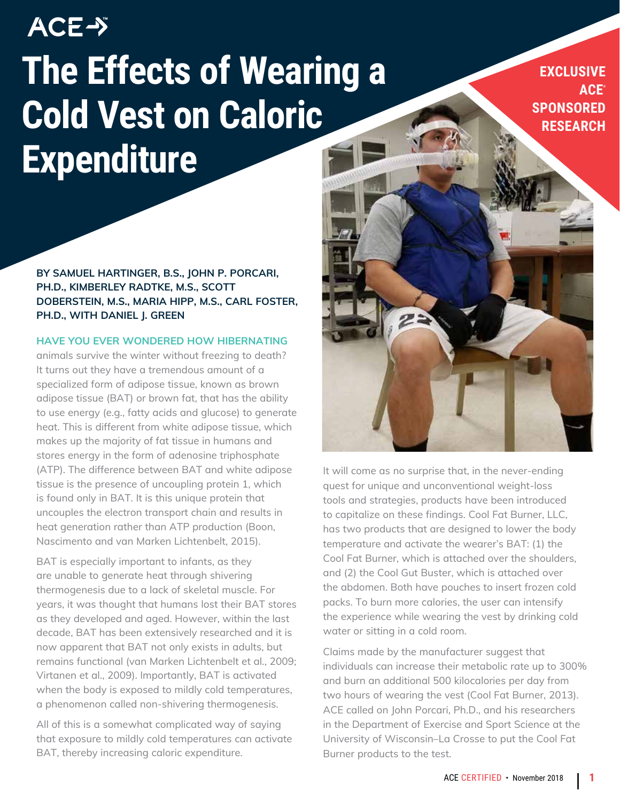# **ACE-> The Effects of Wearing a Cold Vest on Caloric Expenditure**

**BY SAMUEL HARTINGER, B.S., JOHN P. PORCARI, PH.D., KIMBERLEY RADTKE, M.S., SCOTT DOBERSTEIN, M.S., MARIA HIPP, M.S., CARL FOSTER, PH.D., WITH DANIEL J. GREEN**

#### **HAVE YOU EVER WONDERED HOW HIBERNATING**

animals survive the winter without freezing to death? It turns out they have a tremendous amount of a specialized form of adipose tissue, known as brown adipose tissue (BAT) or brown fat, that has the ability to use energy (e.g., fatty acids and glucose) to generate heat. This is different from white adipose tissue, which makes up the majority of fat tissue in humans and stores energy in the form of adenosine triphosphate (ATP). The difference between BAT and white adipose tissue is the presence of uncoupling protein 1, which is found only in BAT. It is this unique protein that uncouples the electron transport chain and results in heat generation rather than ATP production (Boon, Nascimento and van Marken Lichtenbelt, 2015).

BAT is especially important to infants, as they are unable to generate heat through shivering thermogenesis due to a lack of skeletal muscle. For years, it was thought that humans lost their BAT stores as they developed and aged. However, within the last decade, BAT has been extensively researched and it is now apparent that BAT not only exists in adults, but remains functional (van Marken Lichtenbelt et al., 2009; Virtanen et al., 2009). Importantly, BAT is activated when the body is exposed to mildly cold temperatures, a phenomenon called non-shivering thermogenesis.

All of this is a somewhat complicated way of saying that exposure to mildly cold temperatures can activate BAT, thereby increasing caloric expenditure.

**EXCLUSIVE ACE® SPONSORED RESEARCH**

It will come as no surprise that, in the never-ending quest for unique and unconventional weight-loss tools and strategies, products have been introduced to capitalize on these findings. Cool Fat Burner, LLC, has two products that are designed to lower the body temperature and activate the wearer's BAT: (1) the Cool Fat Burner, which is attached over the shoulders, and (2) the Cool Gut Buster, which is attached over the abdomen. Both have pouches to insert frozen cold packs. To burn more calories, the user can intensify the experience while wearing the vest by drinking cold water or sitting in a cold room.

Claims made by the manufacturer suggest that individuals can increase their metabolic rate up to 300% and burn an additional 500 kilocalories per day from two hours of wearing the vest (Cool Fat Burner, 2013). ACE called on John Porcari, Ph.D., and his researchers in the Department of Exercise and Sport Science at the University of Wisconsin–La Crosse to put the Cool Fat Burner products to the test.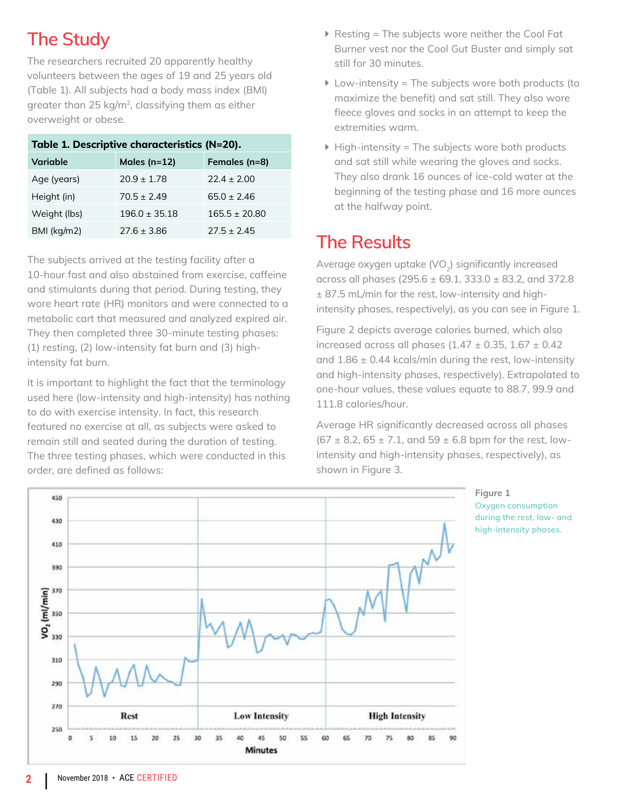## **The Study**

The researchers recruited 20 apparently healthy volunteers between the ages of 19 and 25 years old (Table 1). All subjects had a body mass index (BMI) greater than 25 kg/m<sup>2</sup>, classifying them as either overweight or obese.

| Table 1. Descriptive characteristics (N=20). |                   |                 |
|----------------------------------------------|-------------------|-----------------|
| Variable                                     | Males ( $n=12$ )  | Females (n=8)   |
| Age (years)                                  | $20.9 \pm 1.78$   | $22.4 \pm 2.00$ |
| Height (in)                                  | $70.5 + 2.49$     | $65.0 + 2.46$   |
| Weight (lbs)                                 | $196.0 \pm 35.18$ | $165.5 + 20.80$ |
| BMI (kg/m2)                                  | $27.6 \pm 3.86$   | $27.5 \pm 2.45$ |

The subjects arrived at the testing facility after a 10-hour fast and also abstained from exercise, caffeine and stimulants during that period. During testing, they wore heart rate (HR) monitors and were connected to a metabolic cart that measured and analyzed expired air. They then completed three 30-minute testing phases: (1) resting, (2) low-intensity fat burn and (3) highintensity fat burn.

It is important to highlight the fact that the terminology used here (low-intensity and high-intensity) has nothing to do with exercise intensity. In fact, this research featured no exercise at all, as subjects were asked to remain still and seated during the duration of testing. The three testing phases, which were conducted in this order, are defined as follows:

- $\blacktriangleright$  Resting = The subjects wore neither the Cool Fat Burner vest nor the Cool Gut Buster and simply sat still for 30 minutes.
- $\blacktriangleright$  Low-intensity = The subjects wore both products (to maximize the benefit) and sat still. They also wore fleece gloves and socks in an attempt to keep the extremities warm.
- $\blacktriangleright$  High-intensity = The subjects wore both products and sat still while wearing the gloves and socks. They also drank 16 ounces of ice-cold water at the beginning of the testing phase and 16 more ounces at the halfway point.

## **The Results**

Average oxygen uptake  $(VO<sub>2</sub>)$  significantly increased across all phases (295.6 ± 69.1, 333.0 ± 83.2, and 372.8 ± 87.5 mL/min for the rest, low-intensity and highintensity phases, respectively), as you can see in Figure 1.

Figure 2 depicts average calories burned, which also increased across all phases (1.47  $\pm$  0.35, 1.67  $\pm$  0.42 and  $1.86 \pm 0.44$  kcals/min during the rest, low-intensity and high-intensity phases, respectively). Extrapolated to one-hour values, these values equate to 88.7, 99.9 and 111.8 calories/hour.

Average HR significantly decreased across all phases (67  $\pm$  8.2, 65  $\pm$  7.1, and 59  $\pm$  6.8 bpm for the rest, lowintensity and high-intensity phases, respectively), as shown in Figure 3.

> **Figure 1** Oxygen consumption during the rest, low- and high-intensity phases.



**<sup>2</sup>** |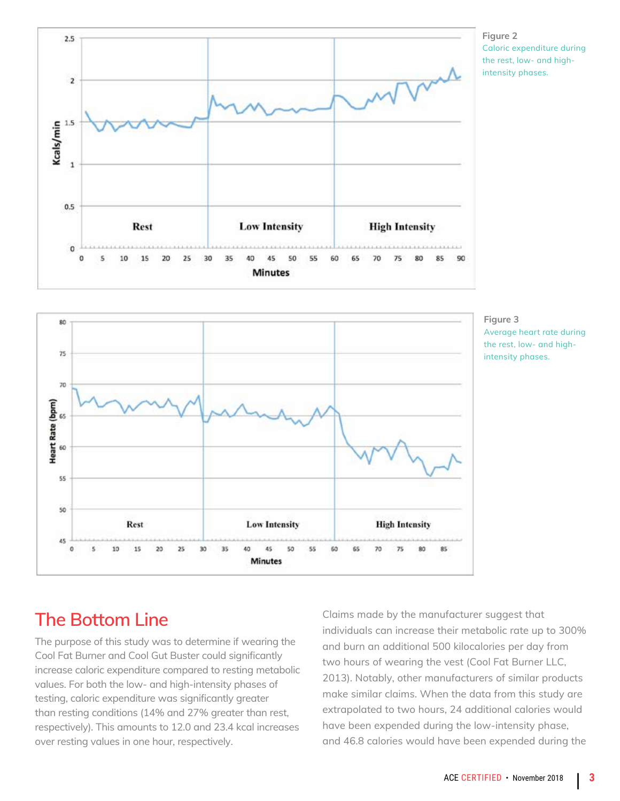





**Figure 3** Average heart rate during the rest, low- and highintensity phases.

### **The Bottom Line**

The purpose of this study was to determine if wearing the Cool Fat Burner and Cool Gut Buster could significantly increase caloric expenditure compared to resting metabolic values. For both the low- and high-intensity phases of testing, caloric expenditure was significantly greater than resting conditions (14% and 27% greater than rest, respectively). This amounts to 12.0 and 23.4 kcal increases over resting values in one hour, respectively.

Claims made by the manufacturer suggest that individuals can increase their metabolic rate up to 300% and burn an additional 500 kilocalories per day from two hours of wearing the vest (Cool Fat Burner LLC, 2013). Notably, other manufacturers of similar products make similar claims. When the data from this study are extrapolated to two hours, 24 additional calories would have been expended during the low-intensity phase, and 46.8 calories would have been expended during the